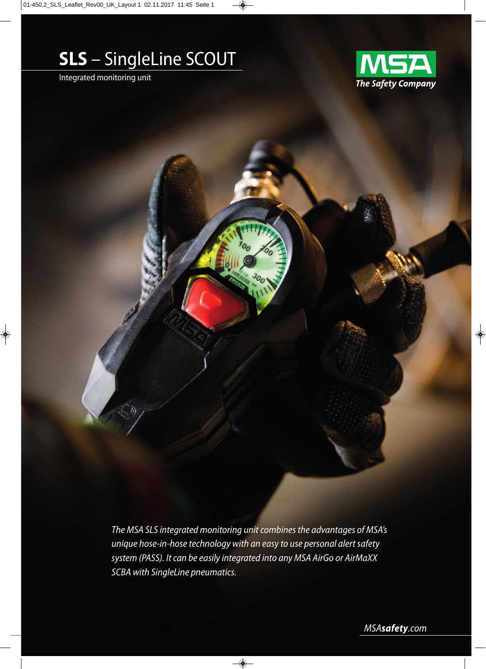# **SLS** – SingleLine SCOUT

Integrated monitoring unit



*The MSA SLS integrated monitoring unit combines the advantages of MSA's unique hose-in-hose technology with an easy to use personal alert safety system (PASS). It can be easily integrated into any MSA AirGo or AirMaXX SCBA with SingleLine pneumatics.* 

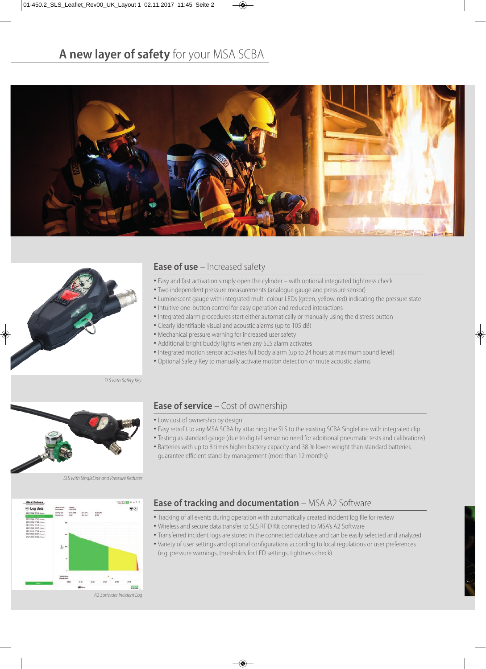# **A new layer of safety** for your MSA SCBA





## **Ease of use** – Increased safety

- Easy and fast activation simply open the cylinder with optional integrated tightness check
- Two independent pressure measurements (analogue gauge and pressure sensor)
- Luminescent gauge with integrated multi-colour LEDs (green, yellow, red) indicating the pressure state
- Intuitive one-button control for easy operation and reduced interactions
- Integrated alarm procedures start either automatically or manually using the distress button
- Clearly identifiable visual and acoustic alarms (up to 105 dB)
- Mechanical pressure warning for increased user safety
- Additional bright buddy lights when any SLS alarm activates
- Integrated motion sensor activates full body alarm (up to 24 hours at maximum sound level)
- Optional Safety Key to manually activate motion detection or mute acoustic alarms

SLS with Safety Key



SLS with SingleLine and Pressure Reducer



### **Ease of service** – Cost of ownership

- Low cost of ownership by design
- Easy retrofit to any MSA SCBA by attaching the SLS to the existing SCBA SingleLine with integrated clip
- Testing as standard gauge (due to digital sensor no need for additional pneumatic tests and calibrations)
- Batteries with up to 8 times higher battery capacity and 38 % lower weight than standard batteries guarantee efficient stand-by management (more than 12 months)

# **Ease of tracking and documentation** – MSA A2 Software

- Tracking of all events during operation with automatically created incident log file for review
- Wireless and secure data transfer to SLS RFID Kit connected to MSA's A2 Software
- Transferred incident logs are stored in the connected database and can be easily selected and analyzed
- Variety of user settings and optional configurations according to local regulations or user preferences (e.g. pressure warnings, thresholds for LED settings, tightness check)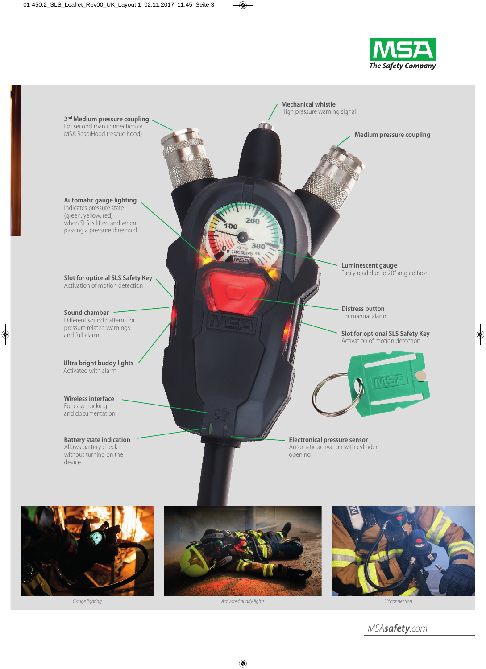









MSA*safety*.com